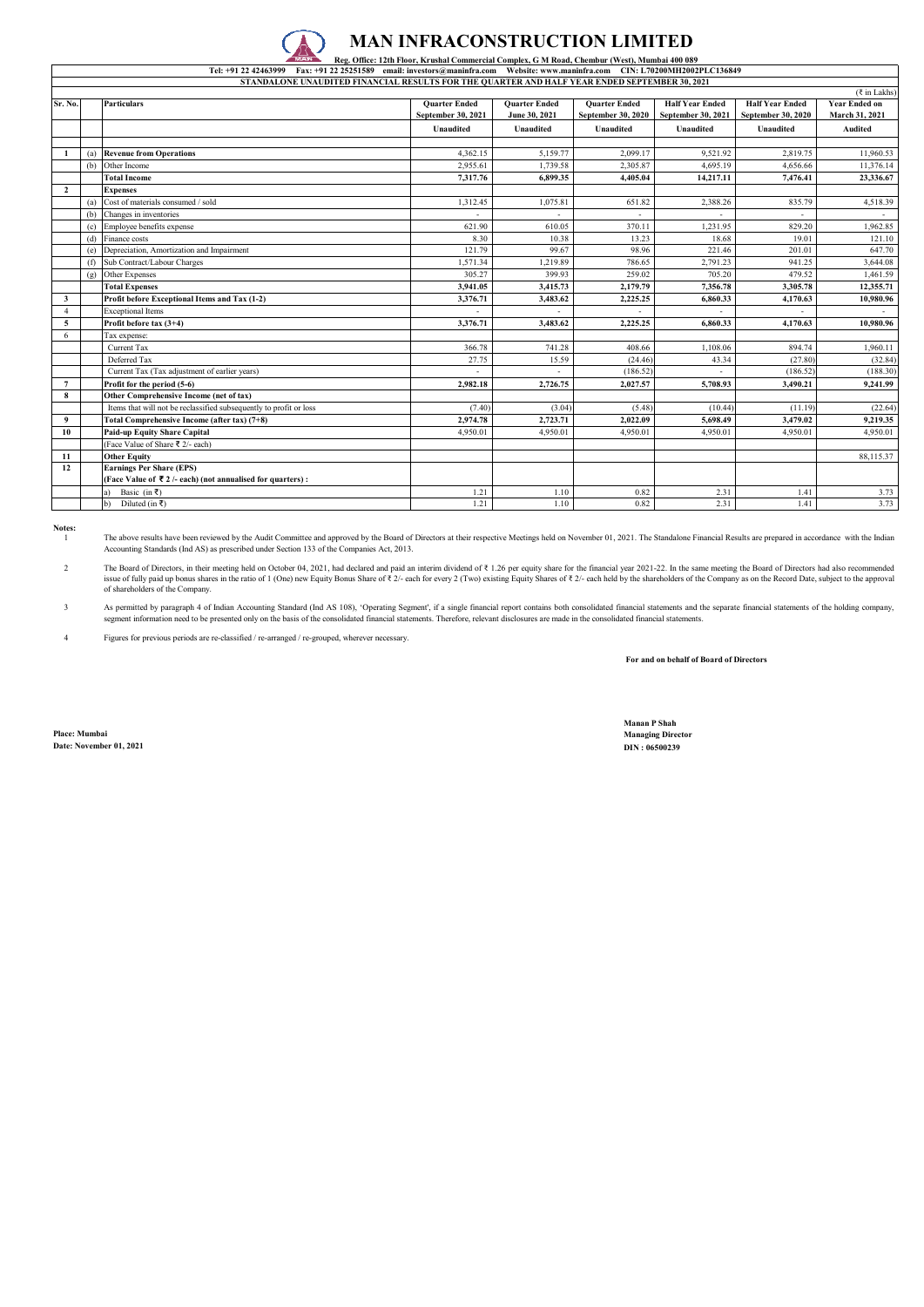## **MAN INFRACONSTRUCTION LIMITED**<br>Reg. Office: 12th Floor, Krushal Commercial Complex, G.M. Road, Chembur (West), Mumbai 400.089

| <u>religious religious commercial complex of a religious cacinous (a construction of a complement of <math>\sim</math></u><br>Tel: +91 22 42463999 Fax: +91 22 25251589 email: investors@maninfra.com Website: www.maninfra.com CIN: L70200MH2002PLC136849 |     |                                                                    |                      |                      |                      |                        |                        |                      |  |  |
|------------------------------------------------------------------------------------------------------------------------------------------------------------------------------------------------------------------------------------------------------------|-----|--------------------------------------------------------------------|----------------------|----------------------|----------------------|------------------------|------------------------|----------------------|--|--|
| STANDALONE UNAUDITED FINANCIAL RESULTS FOR THE OUARTER AND HALF YEAR ENDED SEPTEMBER 30, 2021                                                                                                                                                              |     |                                                                    |                      |                      |                      |                        |                        |                      |  |  |
| $(3 \in \mathbb{Z})$ in Lakhs)                                                                                                                                                                                                                             |     |                                                                    |                      |                      |                      |                        |                        |                      |  |  |
| Sr. No.                                                                                                                                                                                                                                                    |     | <b>Particulars</b>                                                 | <b>Quarter Ended</b> | <b>Quarter Ended</b> | <b>Quarter Ended</b> | <b>Half Year Ended</b> | <b>Half Year Ended</b> | <b>Year Ended on</b> |  |  |
|                                                                                                                                                                                                                                                            |     |                                                                    | September 30, 2021   | June 30, 2021        | September 30, 2020   | September 30, 2021     | September 30, 2020     | March 31, 2021       |  |  |
|                                                                                                                                                                                                                                                            |     |                                                                    | <b>Unaudited</b>     | <b>Unaudited</b>     | Unaudited            | <b>Unaudited</b>       | <b>Unaudited</b>       | <b>Audited</b>       |  |  |
|                                                                                                                                                                                                                                                            |     |                                                                    |                      |                      |                      |                        |                        |                      |  |  |
| $\mathbf{1}$                                                                                                                                                                                                                                               |     | (a) Revenue from Operations                                        | 4,362.15             | 5,159.77             | 2.099.17             | 9.521.92               | 2.819.75               | 11,960.53            |  |  |
|                                                                                                                                                                                                                                                            | (b) | Other Income                                                       | 2,955.61             | 1,739.58             | 2,305.87             | 4,695.19               | 4,656.66               | 11,376.14            |  |  |
|                                                                                                                                                                                                                                                            |     | <b>Total Income</b>                                                | 7,317.76             | 6,899.35             | 4,405.04             | 14,217.11              | 7,476.41               | 23,336.67            |  |  |
| $\overline{2}$                                                                                                                                                                                                                                             |     | <b>Expenses</b>                                                    |                      |                      |                      |                        |                        |                      |  |  |
|                                                                                                                                                                                                                                                            | (a) | Cost of materials consumed / sold                                  | 1,312.45             | 1,075.81             | 651.82               | 2,388.26               | 835.79                 | 4,518.39             |  |  |
|                                                                                                                                                                                                                                                            | (b) | Changes in inventories                                             |                      |                      |                      |                        |                        |                      |  |  |
|                                                                                                                                                                                                                                                            | (c) | Employee benefits expense                                          | 621.90               | 610.05               | 370.11               | 1,231.95               | 829.20                 | 1,962.85             |  |  |
|                                                                                                                                                                                                                                                            | (d) | Finance costs                                                      | 8.30                 | 10.38                | 13.23                | 18.68                  | 19.01                  | 121.10               |  |  |
|                                                                                                                                                                                                                                                            | (e) | Depreciation, Amortization and Impairment                          | 121.79               | 99.67                | 98.96                | 221.46                 | 201.01                 | 647.70               |  |  |
|                                                                                                                                                                                                                                                            | (f) | Sub Contract/Labour Charges                                        | 1,571.34             | 1.219.89             | 786.65               | 2,791.23               | 941.25                 | 3,644.08             |  |  |
|                                                                                                                                                                                                                                                            | (g) | Other Expenses                                                     | 305.27               | 399.93               | 259.02               | 705.20                 | 479.52                 | 1,461.59             |  |  |
|                                                                                                                                                                                                                                                            |     | <b>Total Expenses</b>                                              | 3,941.05             | 3,415.73             | 2,179.79             | 7,356.78               | 3,305.78               | 12,355.71            |  |  |
| $\mathbf{3}$                                                                                                                                                                                                                                               |     | Profit before Exceptional Items and Tax (1-2)                      | 3,376.71             | 3,483.62             | 2,225.25             | 6,860.33               | 4,170.63               | 10,980.96            |  |  |
| $\overline{4}$                                                                                                                                                                                                                                             |     | <b>Exceptional Items</b>                                           |                      |                      |                      |                        |                        |                      |  |  |
| 5                                                                                                                                                                                                                                                          |     | Profit before tax (3+4)                                            | 3,376.71             | 3,483.62             | 2,225.25             | 6,860.33               | 4,170.63               | 10,980.96            |  |  |
| 6                                                                                                                                                                                                                                                          |     | Tax expense:                                                       |                      |                      |                      |                        |                        |                      |  |  |
|                                                                                                                                                                                                                                                            |     | Current Tax                                                        | 366.78               | 741.28               | 408.66               | 1.108.06               | 894.74                 | 1,960.11             |  |  |
|                                                                                                                                                                                                                                                            |     | Deferred Tax                                                       | 27.75                | 15.59                | (24.46)              | 43.34                  | (27.80)                | (32.84)              |  |  |
|                                                                                                                                                                                                                                                            |     | Current Tax (Tax adjustment of earlier years)                      |                      |                      | (186.52)             |                        | (186.52)               | (188.30)             |  |  |
| $7\phantom{.0}$                                                                                                                                                                                                                                            |     | Profit for the period (5-6)                                        | 2,982.18             | 2,726.75             | 2.027.57             | 5,708.93               | 3,490.21               | 9,241.99             |  |  |
| 8                                                                                                                                                                                                                                                          |     | Other Comprehensive Income (net of tax)                            |                      |                      |                      |                        |                        |                      |  |  |
|                                                                                                                                                                                                                                                            |     | Items that will not be reclassified subsequently to profit or loss | (7.40)               | (3.04)               | (5.48)               | (10.44)                | (11.19)                | (22.64)              |  |  |
| 9                                                                                                                                                                                                                                                          |     | Total Comprehensive Income (after tax) (7+8)                       | 2,974.78             | 2,723.71             | 2.022.09             | 5.698.49               | 3,479.02               | 9.219.35             |  |  |
| 10                                                                                                                                                                                                                                                         |     | Paid-up Equity Share Capital                                       | 4,950.01             | 4,950.01             | 4,950.01             | 4,950.01               | 4,950.01               | 4,950.01             |  |  |
|                                                                                                                                                                                                                                                            |     | (Face Value of Share ₹ 2/- each)                                   |                      |                      |                      |                        |                        |                      |  |  |
| 11                                                                                                                                                                                                                                                         |     | <b>Other Equity</b>                                                |                      |                      |                      |                        |                        | 88,115.37            |  |  |
| 12                                                                                                                                                                                                                                                         |     | <b>Earnings Per Share (EPS)</b>                                    |                      |                      |                      |                        |                        |                      |  |  |
|                                                                                                                                                                                                                                                            |     | (Face Value of ₹2/- each) (not annualised for quarters):           |                      |                      |                      |                        |                        |                      |  |  |
|                                                                                                                                                                                                                                                            |     | Basic (in ₹)                                                       | 1.21                 | 1.10                 | 0.82                 | 2.31                   | 1.41                   | 3.73                 |  |  |
|                                                                                                                                                                                                                                                            |     | Diluted (in ₹)<br>$\mathbf{b}$                                     | 1.21                 | 1.10                 | 0.82                 | 2.31                   | 1.41                   | 3.73                 |  |  |

**Notes:** 1

The above results have been reviewed by the Audit Committee and approved by the Board of Directors at their respective Meetings held on November 01, 2021. The Standalone Financial Results are prepared in accordance with th

2 The Board of Directors, in their meeting held on October 04, 2021, had declared and paid an interim dividend of ₹1.26 per equity share for the financial year 2021-22. In the same meeting the Board of Directors had also rec issue of fully paid up bonus shares in the ratio of 1 (One) new Equity Bonus Share of ₹ 2/- each for every 2 (Two) existing Equity Shares of ₹ 2/- each held by the shareholders of the Company as on the Record Date, subjec

3 As permitted by paragraph 4 of Indian Accounting Standard (Ind AS 108), 'Operating Segment', if a single financial erport contains both consolidated financial statements and the separate financial statements of the holding

4 Figures for previous periods are re-classified / re-arranged / re-grouped, wherever necessary.

**For and on behalf of Board of Directors**

**Place: Mumbai Managing Director Date: November 01, 2021 DIN : 06500239**

**Manan P Shah**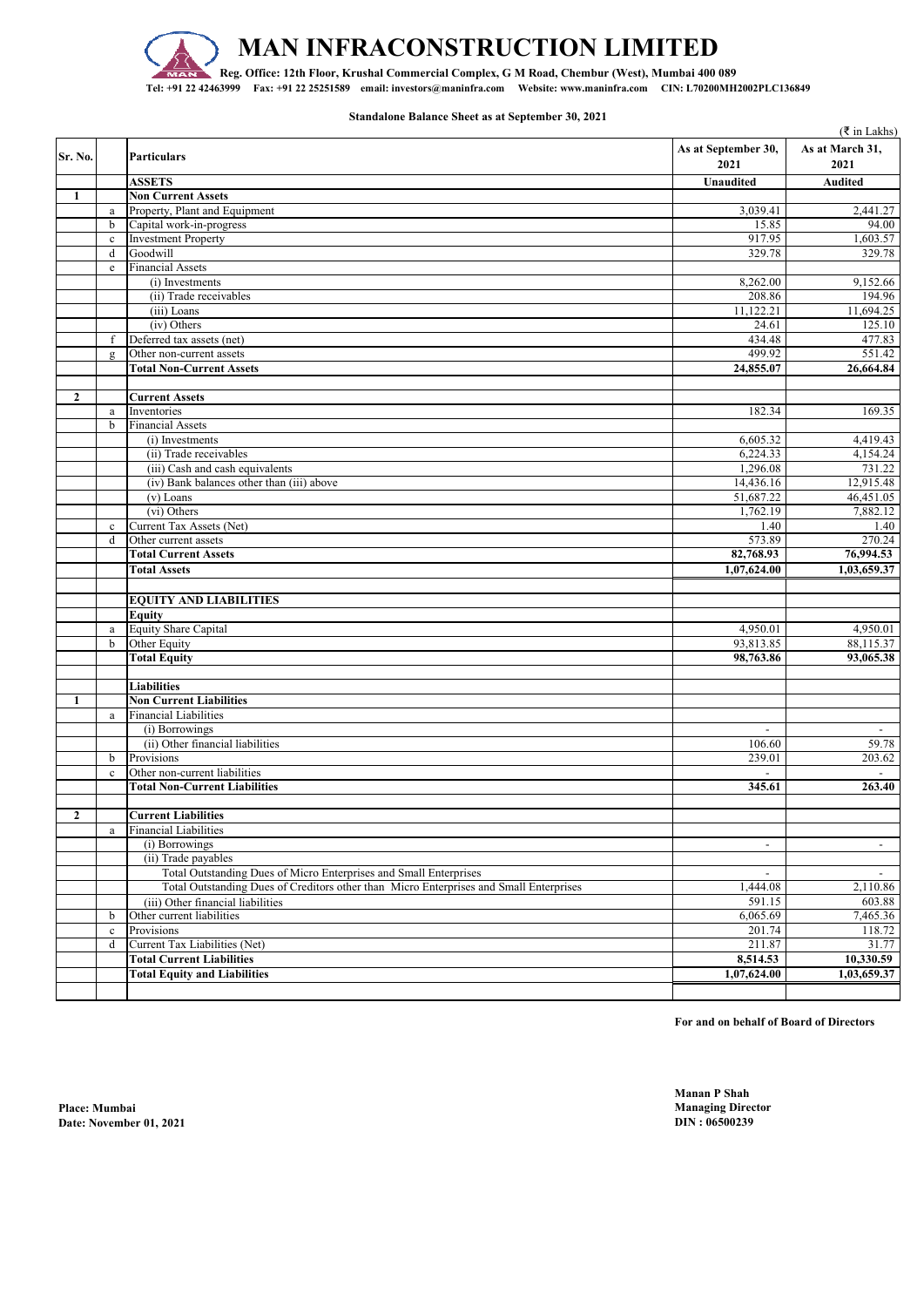

## **MAN INFRACONSTRUCTION LIMITED**

**Reg. Office: 12th Floor, Krushal Commercial Complex, G M Road, Chembur (West), Mumbai 400 089 Tel: +91 22 42463999 Fax: +91 22 25251589 email: investors@maninfra.com Website: www.maninfra.com CIN: L70200MH2002PLC136849**

**Standalone Balance Sheet as at September 30, 2021**

|              |              | ( ₹ in Lakhs)                                                                          |                             |                          |  |
|--------------|--------------|----------------------------------------------------------------------------------------|-----------------------------|--------------------------|--|
| Sr. No.      |              | <b>Particulars</b>                                                                     | As at September 30,<br>2021 | As at March 31,<br>2021  |  |
|              |              | <b>ASSETS</b>                                                                          | Unaudited                   | <b>Audited</b>           |  |
| 1            |              | <b>Non Current Assets</b>                                                              |                             |                          |  |
|              | $\rm{a}$     | Property, Plant and Equipment                                                          | 3,039.41                    | 2,441.27                 |  |
|              | $\mathbf b$  | Capital work-in-progress                                                               | 15.85                       | 94.00                    |  |
|              | $\mathbf c$  | <b>Investment Property</b>                                                             | 917.95                      | 1,603.57                 |  |
|              | $\mathbf d$  | Goodwill                                                                               | 329.78                      | 329.78                   |  |
|              | $\rm e$      | <b>Financial Assets</b>                                                                |                             |                          |  |
|              |              | (i) Investments                                                                        | 8,262.00                    | 9,152.66                 |  |
|              |              | (ii) Trade receivables                                                                 | 208.86                      | 194.96                   |  |
|              |              | (iii) Loans                                                                            | 11,122.21                   | 11,694.25                |  |
|              |              | (iv) Others                                                                            | 24.61                       | 125.10                   |  |
|              | f            | Deferred tax assets (net)                                                              | 434.48                      | 477.83                   |  |
|              | $\mathbf{g}$ | Other non-current assets                                                               | 499.92                      | 551.42                   |  |
|              |              | <b>Total Non-Current Assets</b>                                                        | 24,855.07                   | 26,664.84                |  |
|              |              |                                                                                        |                             |                          |  |
| $\mathbf{2}$ |              | <b>Current Assets</b>                                                                  |                             |                          |  |
|              | a            | Inventories                                                                            | 182.34                      | 169.35                   |  |
|              | $\mathbf b$  | <b>Financial Assets</b>                                                                |                             |                          |  |
|              |              | (i) Investments                                                                        | 6,605.32                    | 4,419.43                 |  |
|              |              | (ii) Trade receivables                                                                 | 6,224.33                    | 4,154.24                 |  |
|              |              | (iii) Cash and cash equivalents                                                        | 1,296.08                    | 731.22                   |  |
|              |              | (iv) Bank balances other than (iii) above                                              | 14,436.16                   | 12,915.48                |  |
|              |              | (v) Loans                                                                              | 51,687.22                   | 46,451.05                |  |
|              |              | (vi) Others                                                                            | 1,762.19                    | 7,882.12                 |  |
|              | $\mathbf{c}$ | Current Tax Assets (Net)                                                               | 1.40                        | 1.40                     |  |
|              | $\mathbf d$  | Other current assets                                                                   | 573.89                      | 270.24                   |  |
|              |              | <b>Total Current Assets</b>                                                            | 82,768.93                   | 76,994.53                |  |
|              |              | <b>Total Assets</b>                                                                    | 1.07.624.00                 | 1,03,659.37              |  |
|              |              |                                                                                        |                             |                          |  |
|              |              | <b>EQUITY AND LIABILITIES</b>                                                          |                             |                          |  |
|              |              | <b>Equity</b>                                                                          |                             |                          |  |
|              | $\rm{a}$     | Equity Share Capital                                                                   | 4,950.01                    | 4,950.01                 |  |
|              | $\mathbf b$  | Other Equity                                                                           | 93,813.85                   | 88,115.37                |  |
|              |              | <b>Total Equity</b>                                                                    | 98,763.86                   | 93,065.38                |  |
|              |              |                                                                                        |                             |                          |  |
|              |              | <b>Liabilities</b>                                                                     |                             |                          |  |
| 1            |              | <b>Non Current Liabilities</b>                                                         |                             |                          |  |
|              | a            | <b>Financial Liabilities</b>                                                           |                             |                          |  |
|              |              | (i) Borrowings                                                                         | $\mathbf{r}$                | $\sim$                   |  |
|              |              | (ii) Other financial liabilities                                                       | 106.60                      | 59.78                    |  |
|              | b            | Provisions                                                                             | 239.01                      | 203.62                   |  |
|              | $\mathbf c$  | Other non-current liabilities                                                          |                             |                          |  |
|              |              | <b>Total Non-Current Liabilities</b>                                                   | 345.61                      | 263.40                   |  |
|              |              |                                                                                        |                             |                          |  |
| $\mathbf{2}$ |              | <b>Current Liabilities</b>                                                             |                             |                          |  |
|              | $\rm{a}$     | <b>Financial Liabilities</b>                                                           |                             |                          |  |
|              |              | (i) Borrowings                                                                         | $\overline{\phantom{a}}$    | $\overline{\phantom{a}}$ |  |
|              |              | (ii) Trade payables                                                                    |                             |                          |  |
|              |              | Total Outstanding Dues of Micro Enterprises and Small Enterprises                      | $\sim$                      | $\overline{\phantom{a}}$ |  |
|              |              | Total Outstanding Dues of Creditors other than Micro Enterprises and Small Enterprises | 1,444.08                    | 2,110.86                 |  |
|              |              | (iii) Other financial liabilities                                                      | 591.15                      | 603.88                   |  |
|              | b            | Other current liabilities                                                              | 6,065.69                    | 7,465.36                 |  |
|              | $\mathbf c$  | Provisions                                                                             | 201.74                      | 118.72                   |  |
|              | d            | Current Tax Liabilities (Net)                                                          | 211.87                      | 31.77                    |  |
|              |              | <b>Total Current Liabilities</b>                                                       | 8,514.53                    | 10,330.59                |  |
|              |              | <b>Total Equity and Liabilities</b>                                                    | 1,07,624.00                 | 1,03,659.37              |  |
|              |              |                                                                                        |                             |                          |  |

**For and on behalf of Board of Directors**

**Manan P Shah**

**Place: Mumbai Managing Director Date: November 01, 2021**